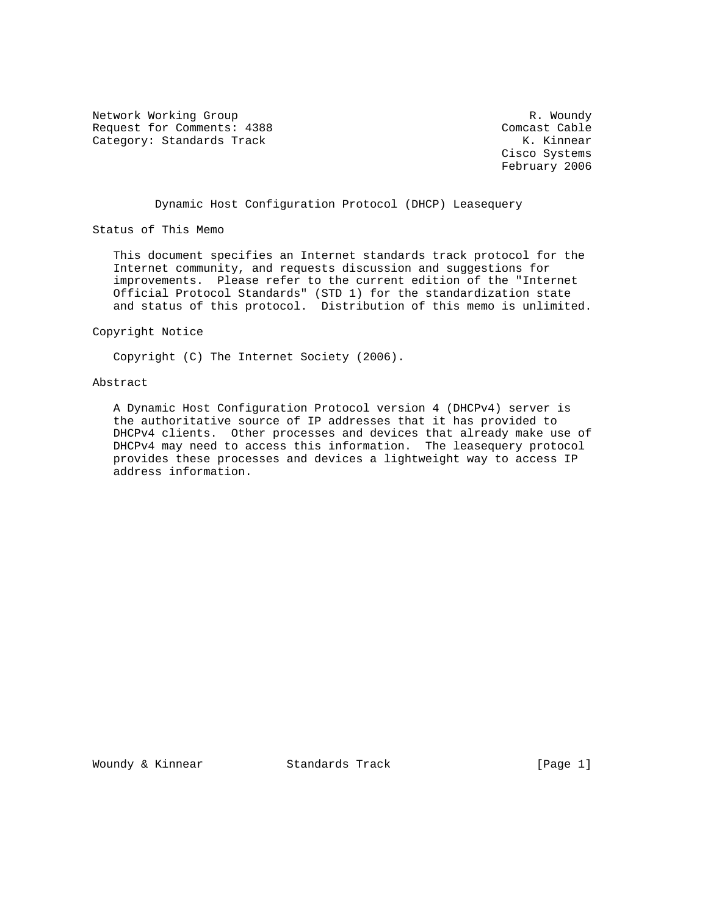Network Working Group and the set of the set of the set of the R. Woundy Request for Comments: 4388 Comcast Cable<br>
Category: Standards Track Cable Category: Standards Track Category: Standards Track

 Cisco Systems February 2006

Dynamic Host Configuration Protocol (DHCP) Leasequery

Status of This Memo

 This document specifies an Internet standards track protocol for the Internet community, and requests discussion and suggestions for improvements. Please refer to the current edition of the "Internet Official Protocol Standards" (STD 1) for the standardization state and status of this protocol. Distribution of this memo is unlimited.

Copyright Notice

Copyright (C) The Internet Society (2006).

## Abstract

 A Dynamic Host Configuration Protocol version 4 (DHCPv4) server is the authoritative source of IP addresses that it has provided to DHCPv4 clients. Other processes and devices that already make use of DHCPv4 may need to access this information. The leasequery protocol provides these processes and devices a lightweight way to access IP address information.

Woundy & Kinnear Standards Track [Page 1]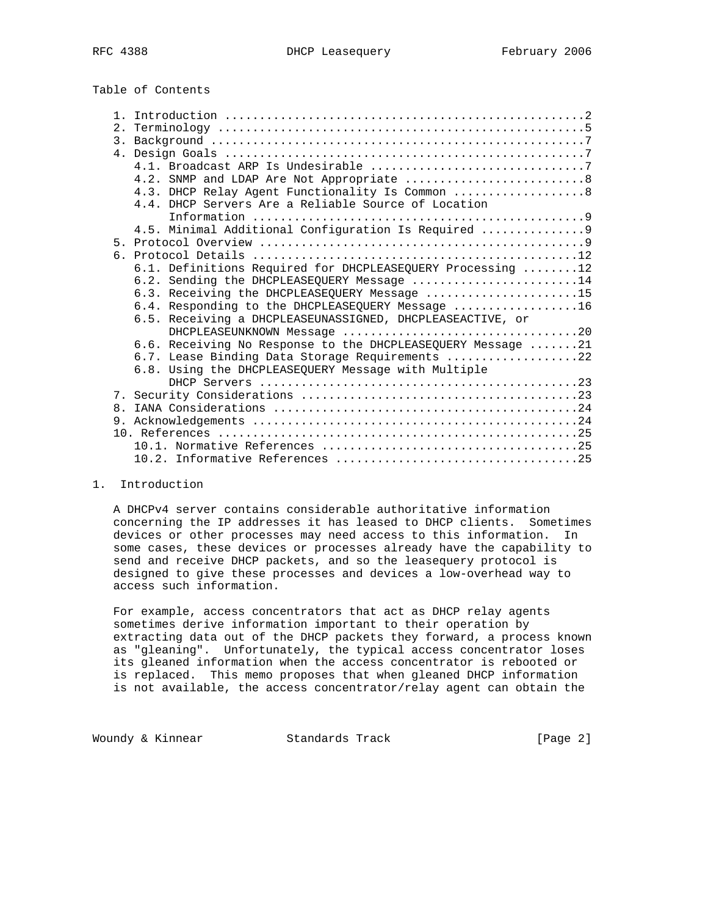Table of Contents

|                | 4.3. DHCP Relay Agent Functionality Is Common  8            |
|----------------|-------------------------------------------------------------|
|                | 4.4. DHCP Servers Are a Reliable Source of Location         |
|                |                                                             |
|                | 4.5. Minimal Additional Configuration Is Required  9        |
|                |                                                             |
|                |                                                             |
|                | 6.1. Definitions Required for DHCPLEASEQUERY Processing 12  |
|                | 6.2. Sending the DHCPLEASEQUERY Message 14                  |
|                | 6.3. Receiving the DHCPLEASEQUERY Message 15                |
|                | 6.4. Responding to the DHCPLEASEQUERY Message 16            |
|                | 6.5. Receiving a DHCPLEASEUNASSIGNED, DHCPLEASEACTIVE, or   |
|                |                                                             |
|                | 6.6. Receiving No Response to the DHCPLEASEQUERY Message 21 |
|                | 6.7. Lease Binding Data Storage Requirements 22             |
|                | 6.8. Using the DHCPLEASEQUERY Message with Multiple         |
|                |                                                             |
|                |                                                             |
| 8 <sub>1</sub> |                                                             |
|                |                                                             |
|                |                                                             |
|                |                                                             |
|                |                                                             |

## 1. Introduction

 A DHCPv4 server contains considerable authoritative information concerning the IP addresses it has leased to DHCP clients. Sometimes devices or other processes may need access to this information. In some cases, these devices or processes already have the capability to send and receive DHCP packets, and so the leasequery protocol is designed to give these processes and devices a low-overhead way to access such information.

 For example, access concentrators that act as DHCP relay agents sometimes derive information important to their operation by extracting data out of the DHCP packets they forward, a process known as "gleaning". Unfortunately, the typical access concentrator loses its gleaned information when the access concentrator is rebooted or is replaced. This memo proposes that when gleaned DHCP information is not available, the access concentrator/relay agent can obtain the

Woundy & Kinnear Standards Track [Page 2]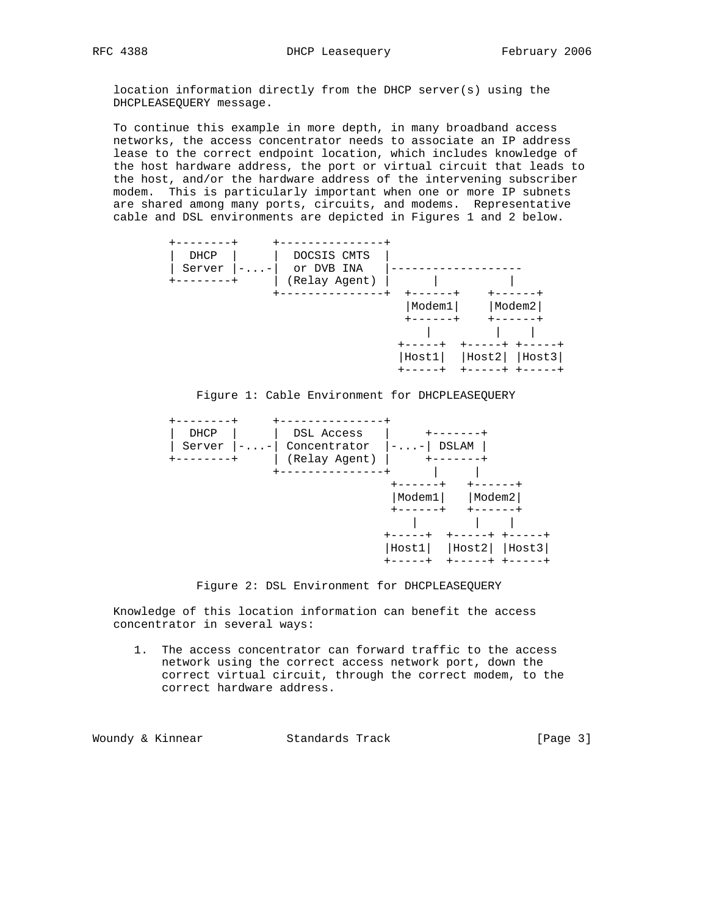location information directly from the DHCP server(s) using the DHCPLEASEQUERY message.

 To continue this example in more depth, in many broadband access networks, the access concentrator needs to associate an IP address lease to the correct endpoint location, which includes knowledge of the host hardware address, the port or virtual circuit that leads to the host, and/or the hardware address of the intervening subscriber modem. This is particularly important when one or more IP subnets are shared among many ports, circuits, and modems. Representative cable and DSL environments are depicted in Figures 1 and 2 below.







Figure 2: DSL Environment for DHCPLEASEQUERY

 Knowledge of this location information can benefit the access concentrator in several ways:

 1. The access concentrator can forward traffic to the access network using the correct access network port, down the correct virtual circuit, through the correct modem, to the correct hardware address.

Woundy & Kinnear Standards Track [Page 3]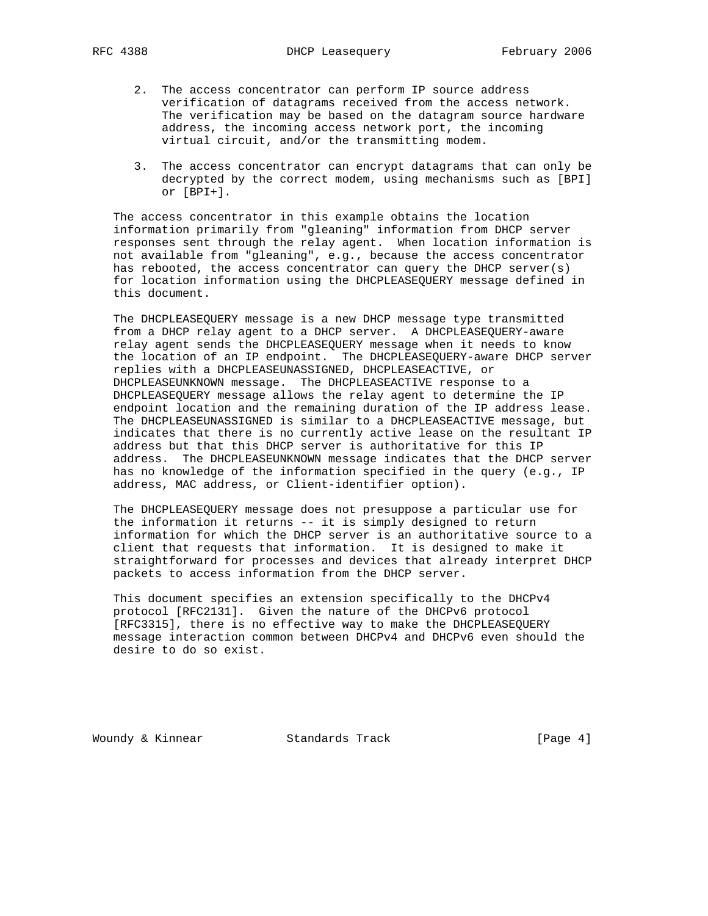- 2. The access concentrator can perform IP source address verification of datagrams received from the access network. The verification may be based on the datagram source hardware address, the incoming access network port, the incoming virtual circuit, and/or the transmitting modem.
- 3. The access concentrator can encrypt datagrams that can only be decrypted by the correct modem, using mechanisms such as [BPI] or [BPI+].

 The access concentrator in this example obtains the location information primarily from "gleaning" information from DHCP server responses sent through the relay agent. When location information is not available from "gleaning", e.g., because the access concentrator has rebooted, the access concentrator can query the DHCP server(s) for location information using the DHCPLEASEQUERY message defined in this document.

 The DHCPLEASEQUERY message is a new DHCP message type transmitted from a DHCP relay agent to a DHCP server. A DHCPLEASEQUERY-aware relay agent sends the DHCPLEASEQUERY message when it needs to know the location of an IP endpoint. The DHCPLEASEQUERY-aware DHCP server replies with a DHCPLEASEUNASSIGNED, DHCPLEASEACTIVE, or DHCPLEASEUNKNOWN message. The DHCPLEASEACTIVE response to a DHCPLEASEQUERY message allows the relay agent to determine the IP endpoint location and the remaining duration of the IP address lease. The DHCPLEASEUNASSIGNED is similar to a DHCPLEASEACTIVE message, but indicates that there is no currently active lease on the resultant IP address but that this DHCP server is authoritative for this IP address. The DHCPLEASEUNKNOWN message indicates that the DHCP server has no knowledge of the information specified in the query (e.g., IP address, MAC address, or Client-identifier option).

 The DHCPLEASEQUERY message does not presuppose a particular use for the information it returns -- it is simply designed to return information for which the DHCP server is an authoritative source to a client that requests that information. It is designed to make it straightforward for processes and devices that already interpret DHCP packets to access information from the DHCP server.

 This document specifies an extension specifically to the DHCPv4 protocol [RFC2131]. Given the nature of the DHCPv6 protocol [RFC3315], there is no effective way to make the DHCPLEASEQUERY message interaction common between DHCPv4 and DHCPv6 even should the desire to do so exist.

Woundy & Kinnear Standards Track [Page 4]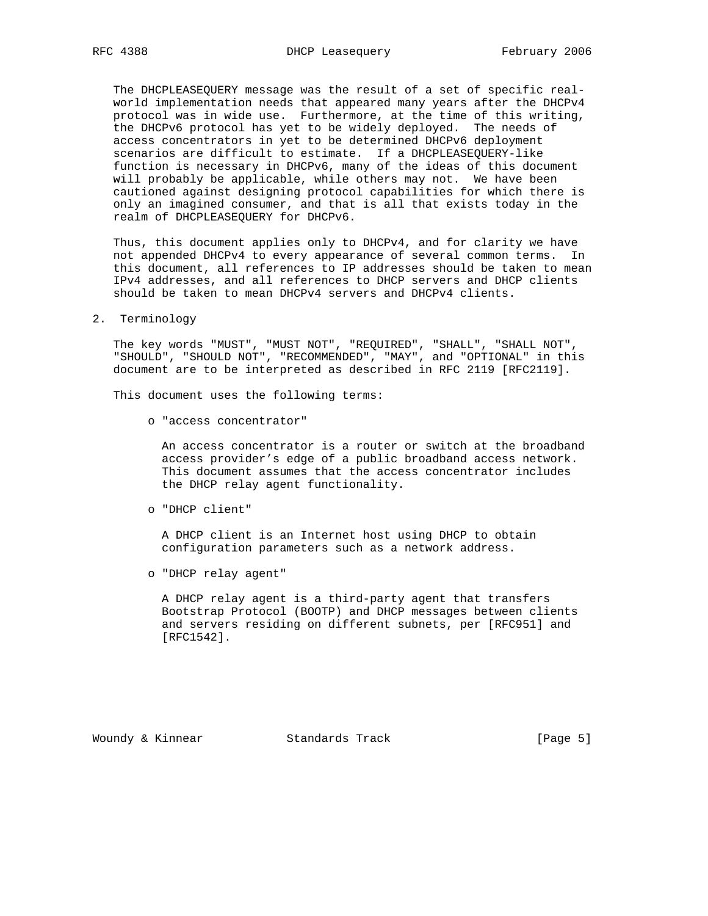The DHCPLEASEQUERY message was the result of a set of specific real world implementation needs that appeared many years after the DHCPv4 protocol was in wide use. Furthermore, at the time of this writing, the DHCPv6 protocol has yet to be widely deployed. The needs of access concentrators in yet to be determined DHCPv6 deployment scenarios are difficult to estimate. If a DHCPLEASEQUERY-like function is necessary in DHCPv6, many of the ideas of this document will probably be applicable, while others may not. We have been cautioned against designing protocol capabilities for which there is only an imagined consumer, and that is all that exists today in the realm of DHCPLEASEQUERY for DHCPv6.

 Thus, this document applies only to DHCPv4, and for clarity we have not appended DHCPv4 to every appearance of several common terms. In this document, all references to IP addresses should be taken to mean IPv4 addresses, and all references to DHCP servers and DHCP clients should be taken to mean DHCPv4 servers and DHCPv4 clients.

# 2. Terminology

 The key words "MUST", "MUST NOT", "REQUIRED", "SHALL", "SHALL NOT", "SHOULD", "SHOULD NOT", "RECOMMENDED", "MAY", and "OPTIONAL" in this document are to be interpreted as described in RFC 2119 [RFC2119].

This document uses the following terms:

o "access concentrator"

 An access concentrator is a router or switch at the broadband access provider's edge of a public broadband access network. This document assumes that the access concentrator includes the DHCP relay agent functionality.

o "DHCP client"

 A DHCP client is an Internet host using DHCP to obtain configuration parameters such as a network address.

o "DHCP relay agent"

 A DHCP relay agent is a third-party agent that transfers Bootstrap Protocol (BOOTP) and DHCP messages between clients and servers residing on different subnets, per [RFC951] and [RFC1542].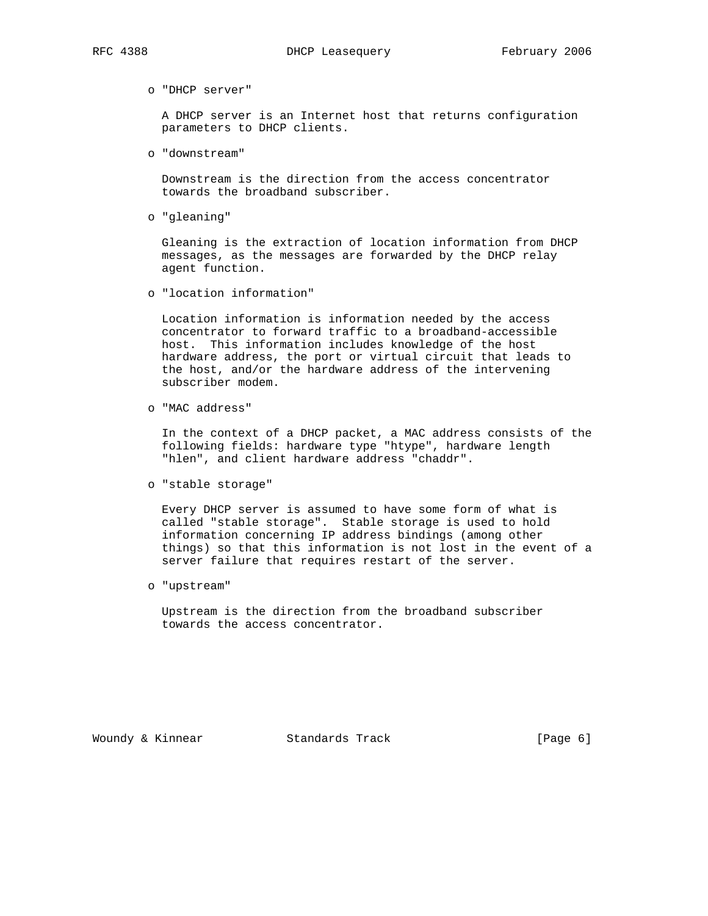#### o "DHCP server"

 A DHCP server is an Internet host that returns configuration parameters to DHCP clients.

o "downstream"

 Downstream is the direction from the access concentrator towards the broadband subscriber.

o "gleaning"

 Gleaning is the extraction of location information from DHCP messages, as the messages are forwarded by the DHCP relay agent function.

o "location information"

 Location information is information needed by the access concentrator to forward traffic to a broadband-accessible host. This information includes knowledge of the host hardware address, the port or virtual circuit that leads to the host, and/or the hardware address of the intervening subscriber modem.

o "MAC address"

 In the context of a DHCP packet, a MAC address consists of the following fields: hardware type "htype", hardware length "hlen", and client hardware address "chaddr".

o "stable storage"

 Every DHCP server is assumed to have some form of what is called "stable storage". Stable storage is used to hold information concerning IP address bindings (among other things) so that this information is not lost in the event of a server failure that requires restart of the server.

o "upstream"

 Upstream is the direction from the broadband subscriber towards the access concentrator.

Woundy & Kinnear Standards Track [Page 6]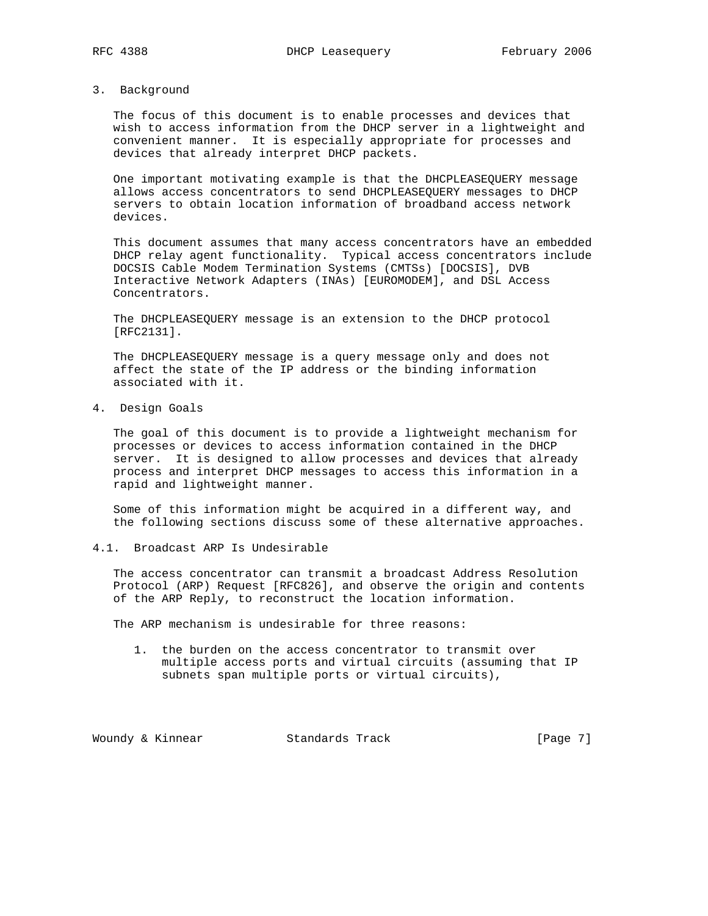# 3. Background

 The focus of this document is to enable processes and devices that wish to access information from the DHCP server in a lightweight and convenient manner. It is especially appropriate for processes and devices that already interpret DHCP packets.

 One important motivating example is that the DHCPLEASEQUERY message allows access concentrators to send DHCPLEASEQUERY messages to DHCP servers to obtain location information of broadband access network devices.

 This document assumes that many access concentrators have an embedded DHCP relay agent functionality. Typical access concentrators include DOCSIS Cable Modem Termination Systems (CMTSs) [DOCSIS], DVB Interactive Network Adapters (INAs) [EUROMODEM], and DSL Access Concentrators.

 The DHCPLEASEQUERY message is an extension to the DHCP protocol [RFC2131].

 The DHCPLEASEQUERY message is a query message only and does not affect the state of the IP address or the binding information associated with it.

4. Design Goals

 The goal of this document is to provide a lightweight mechanism for processes or devices to access information contained in the DHCP server. It is designed to allow processes and devices that already process and interpret DHCP messages to access this information in a rapid and lightweight manner.

 Some of this information might be acquired in a different way, and the following sections discuss some of these alternative approaches.

4.1. Broadcast ARP Is Undesirable

 The access concentrator can transmit a broadcast Address Resolution Protocol (ARP) Request [RFC826], and observe the origin and contents of the ARP Reply, to reconstruct the location information.

The ARP mechanism is undesirable for three reasons:

 1. the burden on the access concentrator to transmit over multiple access ports and virtual circuits (assuming that IP subnets span multiple ports or virtual circuits),

Woundy & Kinnear Standards Track [Page 7]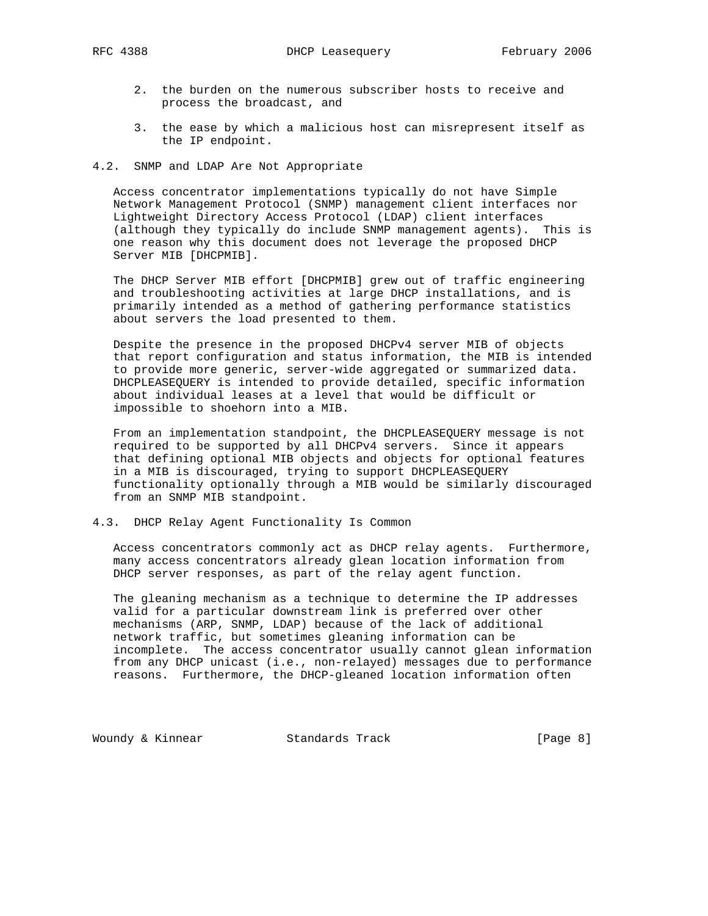- 2. the burden on the numerous subscriber hosts to receive and process the broadcast, and
- 3. the ease by which a malicious host can misrepresent itself as the IP endpoint.

## 4.2. SNMP and LDAP Are Not Appropriate

 Access concentrator implementations typically do not have Simple Network Management Protocol (SNMP) management client interfaces nor Lightweight Directory Access Protocol (LDAP) client interfaces (although they typically do include SNMP management agents). This is one reason why this document does not leverage the proposed DHCP Server MIB [DHCPMIB].

 The DHCP Server MIB effort [DHCPMIB] grew out of traffic engineering and troubleshooting activities at large DHCP installations, and is primarily intended as a method of gathering performance statistics about servers the load presented to them.

 Despite the presence in the proposed DHCPv4 server MIB of objects that report configuration and status information, the MIB is intended to provide more generic, server-wide aggregated or summarized data. DHCPLEASEQUERY is intended to provide detailed, specific information about individual leases at a level that would be difficult or impossible to shoehorn into a MIB.

 From an implementation standpoint, the DHCPLEASEQUERY message is not required to be supported by all DHCPv4 servers. Since it appears that defining optional MIB objects and objects for optional features in a MIB is discouraged, trying to support DHCPLEASEQUERY functionality optionally through a MIB would be similarly discouraged from an SNMP MIB standpoint.

# 4.3. DHCP Relay Agent Functionality Is Common

 Access concentrators commonly act as DHCP relay agents. Furthermore, many access concentrators already glean location information from DHCP server responses, as part of the relay agent function.

 The gleaning mechanism as a technique to determine the IP addresses valid for a particular downstream link is preferred over other mechanisms (ARP, SNMP, LDAP) because of the lack of additional network traffic, but sometimes gleaning information can be incomplete. The access concentrator usually cannot glean information from any DHCP unicast (i.e., non-relayed) messages due to performance reasons. Furthermore, the DHCP-gleaned location information often

Woundy & Kinnear Standards Track [Page 8]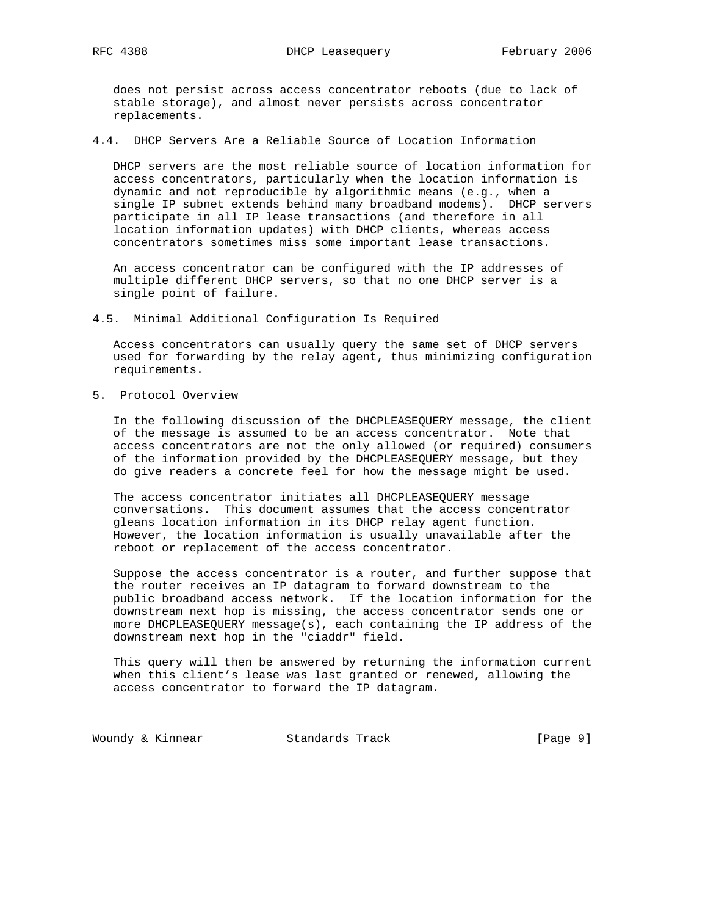does not persist across access concentrator reboots (due to lack of stable storage), and almost never persists across concentrator replacements.

4.4. DHCP Servers Are a Reliable Source of Location Information

 DHCP servers are the most reliable source of location information for access concentrators, particularly when the location information is dynamic and not reproducible by algorithmic means (e.g., when a single IP subnet extends behind many broadband modems). DHCP servers participate in all IP lease transactions (and therefore in all location information updates) with DHCP clients, whereas access concentrators sometimes miss some important lease transactions.

 An access concentrator can be configured with the IP addresses of multiple different DHCP servers, so that no one DHCP server is a single point of failure.

4.5. Minimal Additional Configuration Is Required

 Access concentrators can usually query the same set of DHCP servers used for forwarding by the relay agent, thus minimizing configuration requirements.

5. Protocol Overview

 In the following discussion of the DHCPLEASEQUERY message, the client of the message is assumed to be an access concentrator. Note that access concentrators are not the only allowed (or required) consumers of the information provided by the DHCPLEASEQUERY message, but they do give readers a concrete feel for how the message might be used.

 The access concentrator initiates all DHCPLEASEQUERY message conversations. This document assumes that the access concentrator gleans location information in its DHCP relay agent function. However, the location information is usually unavailable after the reboot or replacement of the access concentrator.

 Suppose the access concentrator is a router, and further suppose that the router receives an IP datagram to forward downstream to the public broadband access network. If the location information for the downstream next hop is missing, the access concentrator sends one or more DHCPLEASEQUERY message(s), each containing the IP address of the downstream next hop in the "ciaddr" field.

 This query will then be answered by returning the information current when this client's lease was last granted or renewed, allowing the access concentrator to forward the IP datagram.

Woundy & Kinnear Standards Track [Page 9]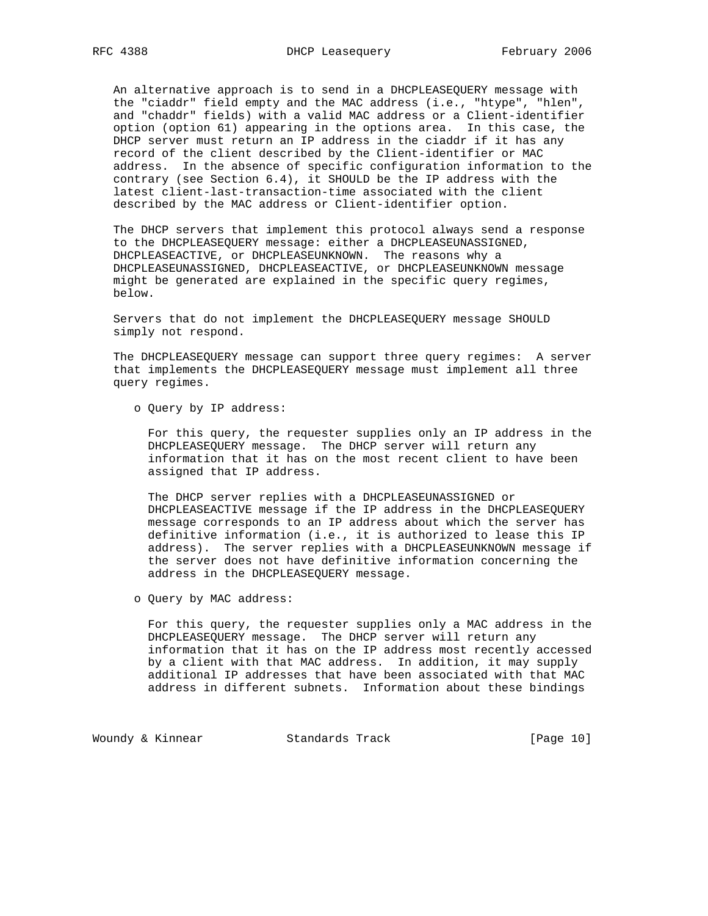An alternative approach is to send in a DHCPLEASEQUERY message with the "ciaddr" field empty and the MAC address (i.e., "htype", "hlen", and "chaddr" fields) with a valid MAC address or a Client-identifier option (option 61) appearing in the options area. In this case, the DHCP server must return an IP address in the ciaddr if it has any record of the client described by the Client-identifier or MAC address. In the absence of specific configuration information to the contrary (see Section 6.4), it SHOULD be the IP address with the latest client-last-transaction-time associated with the client described by the MAC address or Client-identifier option.

 The DHCP servers that implement this protocol always send a response to the DHCPLEASEQUERY message: either a DHCPLEASEUNASSIGNED, DHCPLEASEACTIVE, or DHCPLEASEUNKNOWN. The reasons why a DHCPLEASEUNASSIGNED, DHCPLEASEACTIVE, or DHCPLEASEUNKNOWN message might be generated are explained in the specific query regimes, below.

 Servers that do not implement the DHCPLEASEQUERY message SHOULD simply not respond.

 The DHCPLEASEQUERY message can support three query regimes: A server that implements the DHCPLEASEQUERY message must implement all three query regimes.

o Query by IP address:

 For this query, the requester supplies only an IP address in the DHCPLEASEQUERY message. The DHCP server will return any information that it has on the most recent client to have been assigned that IP address.

 The DHCP server replies with a DHCPLEASEUNASSIGNED or DHCPLEASEACTIVE message if the IP address in the DHCPLEASEQUERY message corresponds to an IP address about which the server has definitive information (i.e., it is authorized to lease this IP address). The server replies with a DHCPLEASEUNKNOWN message if the server does not have definitive information concerning the address in the DHCPLEASEQUERY message.

o Query by MAC address:

 For this query, the requester supplies only a MAC address in the DHCPLEASEQUERY message. The DHCP server will return any information that it has on the IP address most recently accessed by a client with that MAC address. In addition, it may supply additional IP addresses that have been associated with that MAC address in different subnets. Information about these bindings

Woundy & Kinnear Standards Track [Page 10]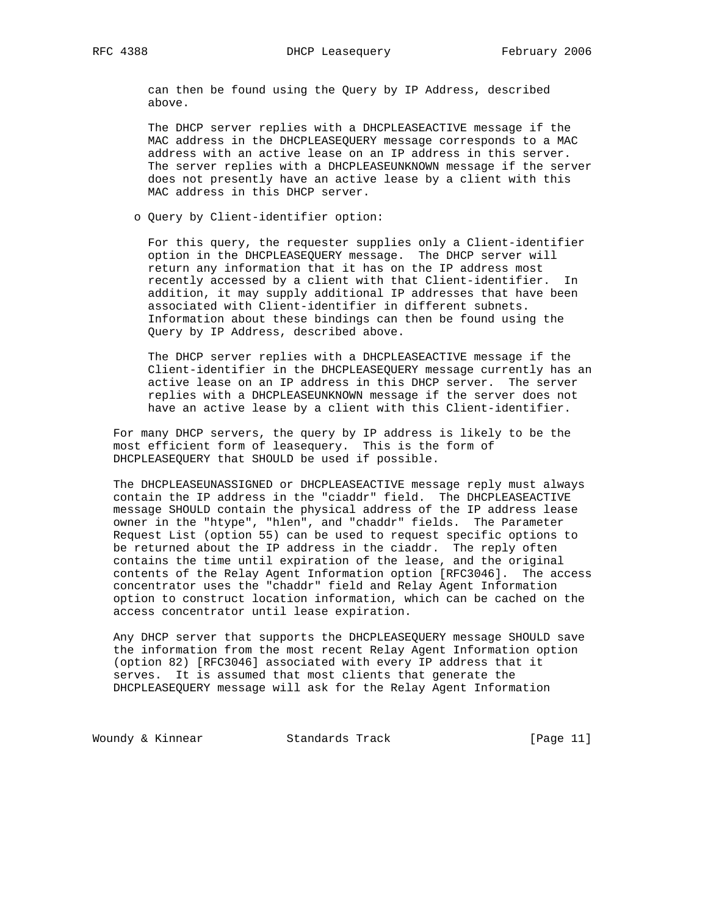can then be found using the Query by IP Address, described above.

 The DHCP server replies with a DHCPLEASEACTIVE message if the MAC address in the DHCPLEASEQUERY message corresponds to a MAC address with an active lease on an IP address in this server. The server replies with a DHCPLEASEUNKNOWN message if the server does not presently have an active lease by a client with this MAC address in this DHCP server.

o Query by Client-identifier option:

 For this query, the requester supplies only a Client-identifier option in the DHCPLEASEQUERY message. The DHCP server will return any information that it has on the IP address most recently accessed by a client with that Client-identifier. In addition, it may supply additional IP addresses that have been associated with Client-identifier in different subnets. Information about these bindings can then be found using the Query by IP Address, described above.

 The DHCP server replies with a DHCPLEASEACTIVE message if the Client-identifier in the DHCPLEASEQUERY message currently has an active lease on an IP address in this DHCP server. The server replies with a DHCPLEASEUNKNOWN message if the server does not have an active lease by a client with this Client-identifier.

 For many DHCP servers, the query by IP address is likely to be the most efficient form of leasequery. This is the form of DHCPLEASEQUERY that SHOULD be used if possible.

 The DHCPLEASEUNASSIGNED or DHCPLEASEACTIVE message reply must always contain the IP address in the "ciaddr" field. The DHCPLEASEACTIVE message SHOULD contain the physical address of the IP address lease owner in the "htype", "hlen", and "chaddr" fields. The Parameter Request List (option 55) can be used to request specific options to be returned about the IP address in the ciaddr. The reply often contains the time until expiration of the lease, and the original contents of the Relay Agent Information option [RFC3046]. The access concentrator uses the "chaddr" field and Relay Agent Information option to construct location information, which can be cached on the access concentrator until lease expiration.

 Any DHCP server that supports the DHCPLEASEQUERY message SHOULD save the information from the most recent Relay Agent Information option (option 82) [RFC3046] associated with every IP address that it serves. It is assumed that most clients that generate the DHCPLEASEQUERY message will ask for the Relay Agent Information

Woundy & Kinnear Standards Track [Page 11]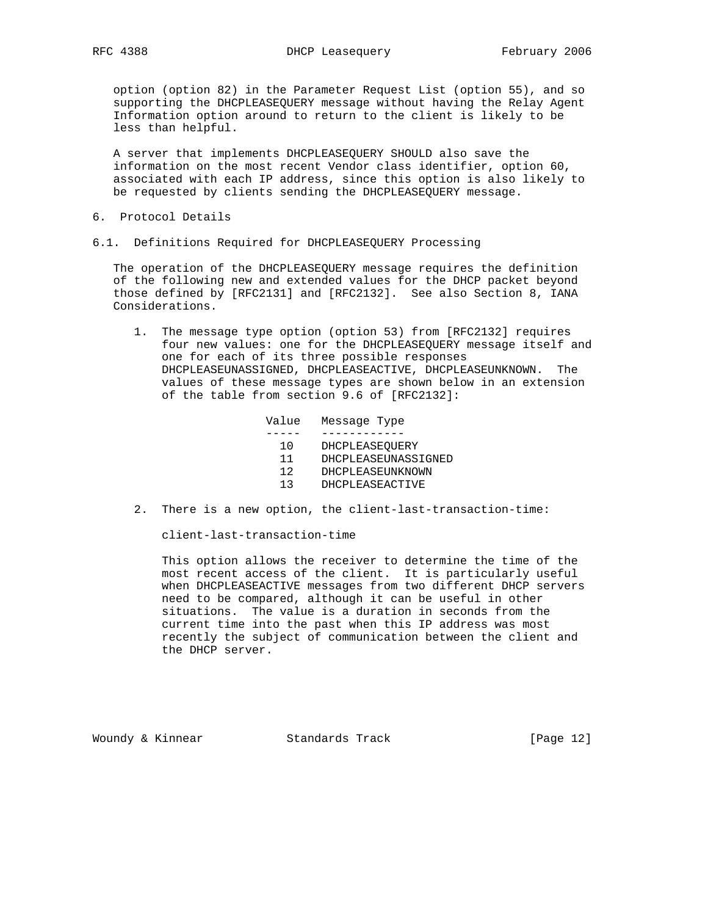option (option 82) in the Parameter Request List (option 55), and so supporting the DHCPLEASEQUERY message without having the Relay Agent Information option around to return to the client is likely to be less than helpful.

 A server that implements DHCPLEASEQUERY SHOULD also save the information on the most recent Vendor class identifier, option 60, associated with each IP address, since this option is also likely to be requested by clients sending the DHCPLEASEQUERY message.

- 6. Protocol Details
- 6.1. Definitions Required for DHCPLEASEQUERY Processing

 The operation of the DHCPLEASEQUERY message requires the definition of the following new and extended values for the DHCP packet beyond those defined by [RFC2131] and [RFC2132]. See also Section 8, IANA Considerations.

 1. The message type option (option 53) from [RFC2132] requires four new values: one for the DHCPLEASEQUERY message itself and one for each of its three possible responses DHCPLEASEUNASSIGNED, DHCPLEASEACTIVE, DHCPLEASEUNKNOWN. The values of these message types are shown below in an extension of the table from section 9.6 of [RFC2132]:

Value Message Type

- ----- ------------
	- 10 DHCPLEASEQUERY
	- 11 DHCPLEASEUNASSIGNED
	- 12 DHCPLEASEUNKNOWN
	- 13 DHCPLEASEACTIVE
- 2. There is a new option, the client-last-transaction-time:

client-last-transaction-time

 This option allows the receiver to determine the time of the most recent access of the client. It is particularly useful when DHCPLEASEACTIVE messages from two different DHCP servers need to be compared, although it can be useful in other situations. The value is a duration in seconds from the current time into the past when this IP address was most recently the subject of communication between the client and the DHCP server.

Woundy & Kinnear Standards Track [Page 12]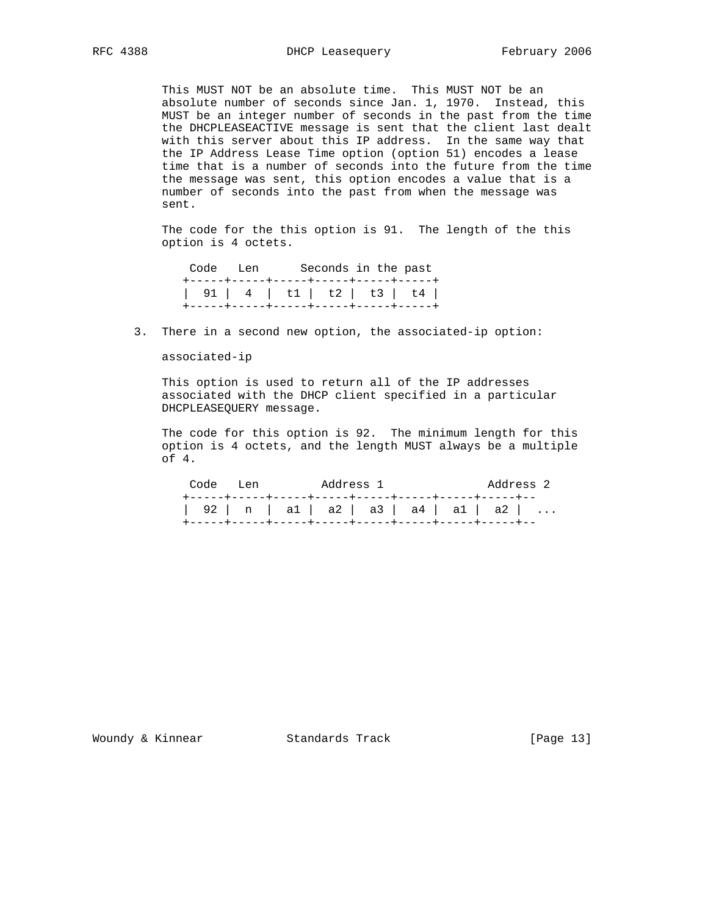This MUST NOT be an absolute time. This MUST NOT be an absolute number of seconds since Jan. 1, 1970. Instead, this MUST be an integer number of seconds in the past from the time the DHCPLEASEACTIVE message is sent that the client last dealt with this server about this IP address. In the same way that the IP Address Lease Time option (option 51) encodes a lease time that is a number of seconds into the future from the time the message was sent, this option encodes a value that is a number of seconds into the past from when the message was sent.

 The code for the this option is 91. The length of the this option is 4 octets.

|  | Code Len Seconds in the past          |  |  |
|--|---------------------------------------|--|--|
|  | +-----+-----+-----+-----+-----+------ |  |  |
|  | 91   4   t1   t2   t3   t4            |  |  |
|  | +------+----+-----+-----+-----+----+- |  |  |

3. There in a second new option, the associated-ip option:

associated-ip

 This option is used to return all of the IP addresses associated with the DHCP client specified in a particular DHCPLEASEQUERY message.

 The code for this option is 92. The minimum length for this option is 4 octets, and the length MUST always be a multiple of 4.

| Code Len   Address 1                 |  |  |  | Address 2 |
|--------------------------------------|--|--|--|-----------|
| 92   n   a1   a2   a3   a4   a1   a2 |  |  |  |           |

Woundy & Kinnear Standards Track [Page 13]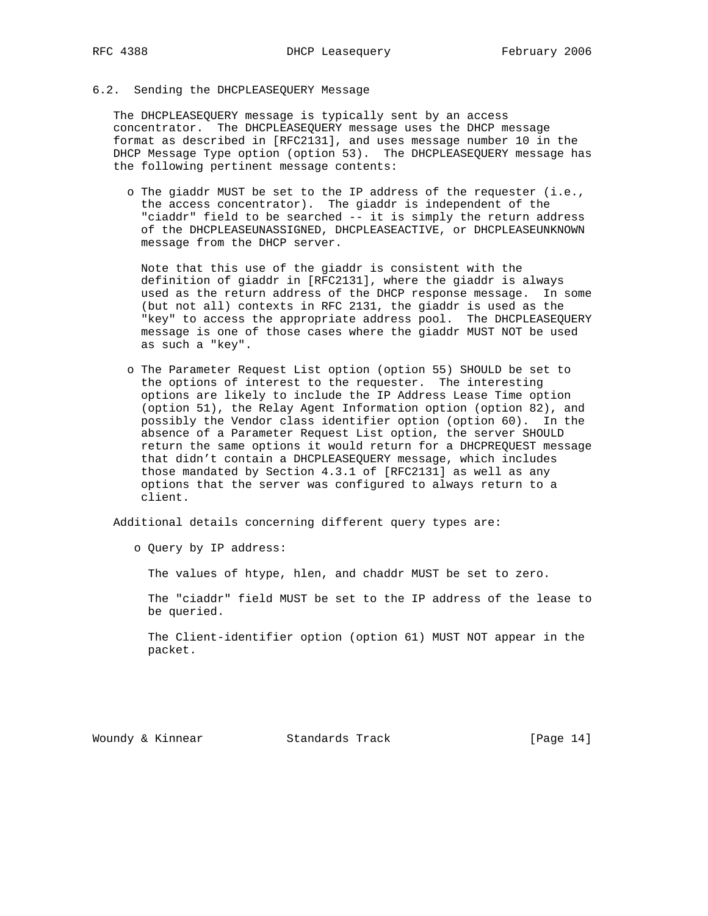## 6.2. Sending the DHCPLEASEQUERY Message

 The DHCPLEASEQUERY message is typically sent by an access concentrator. The DHCPLEASEQUERY message uses the DHCP message format as described in [RFC2131], and uses message number 10 in the DHCP Message Type option (option 53). The DHCPLEASEQUERY message has the following pertinent message contents:

 o The giaddr MUST be set to the IP address of the requester (i.e., the access concentrator). The giaddr is independent of the "ciaddr" field to be searched -- it is simply the return address of the DHCPLEASEUNASSIGNED, DHCPLEASEACTIVE, or DHCPLEASEUNKNOWN message from the DHCP server.

 Note that this use of the giaddr is consistent with the definition of giaddr in [RFC2131], where the giaddr is always used as the return address of the DHCP response message. In some (but not all) contexts in RFC 2131, the giaddr is used as the "key" to access the appropriate address pool. The DHCPLEASEQUERY message is one of those cases where the giaddr MUST NOT be used as such a "key".

 o The Parameter Request List option (option 55) SHOULD be set to the options of interest to the requester. The interesting options are likely to include the IP Address Lease Time option (option 51), the Relay Agent Information option (option 82), and possibly the Vendor class identifier option (option 60). In the absence of a Parameter Request List option, the server SHOULD return the same options it would return for a DHCPREQUEST message that didn't contain a DHCPLEASEQUERY message, which includes those mandated by Section 4.3.1 of [RFC2131] as well as any options that the server was configured to always return to a client.

Additional details concerning different query types are:

o Query by IP address:

The values of htype, hlen, and chaddr MUST be set to zero.

 The "ciaddr" field MUST be set to the IP address of the lease to be queried.

 The Client-identifier option (option 61) MUST NOT appear in the packet.

Woundy & Kinnear Standards Track [Page 14]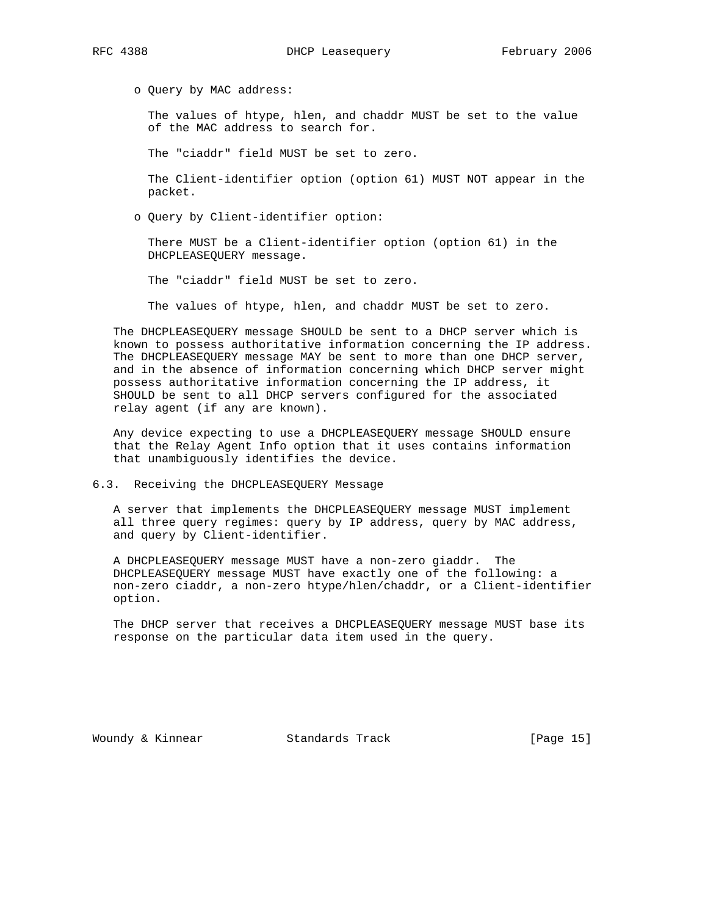o Query by MAC address:

 The values of htype, hlen, and chaddr MUST be set to the value of the MAC address to search for.

The "ciaddr" field MUST be set to zero.

 The Client-identifier option (option 61) MUST NOT appear in the packet.

o Query by Client-identifier option:

 There MUST be a Client-identifier option (option 61) in the DHCPLEASEQUERY message.

The "ciaddr" field MUST be set to zero.

The values of htype, hlen, and chaddr MUST be set to zero.

 The DHCPLEASEQUERY message SHOULD be sent to a DHCP server which is known to possess authoritative information concerning the IP address. The DHCPLEASEQUERY message MAY be sent to more than one DHCP server, and in the absence of information concerning which DHCP server might possess authoritative information concerning the IP address, it SHOULD be sent to all DHCP servers configured for the associated relay agent (if any are known).

 Any device expecting to use a DHCPLEASEQUERY message SHOULD ensure that the Relay Agent Info option that it uses contains information that unambiguously identifies the device.

6.3. Receiving the DHCPLEASEQUERY Message

 A server that implements the DHCPLEASEQUERY message MUST implement all three query regimes: query by IP address, query by MAC address, and query by Client-identifier.

 A DHCPLEASEQUERY message MUST have a non-zero giaddr. The DHCPLEASEQUERY message MUST have exactly one of the following: a non-zero ciaddr, a non-zero htype/hlen/chaddr, or a Client-identifier option.

 The DHCP server that receives a DHCPLEASEQUERY message MUST base its response on the particular data item used in the query.

Woundy & Kinnear Standards Track [Page 15]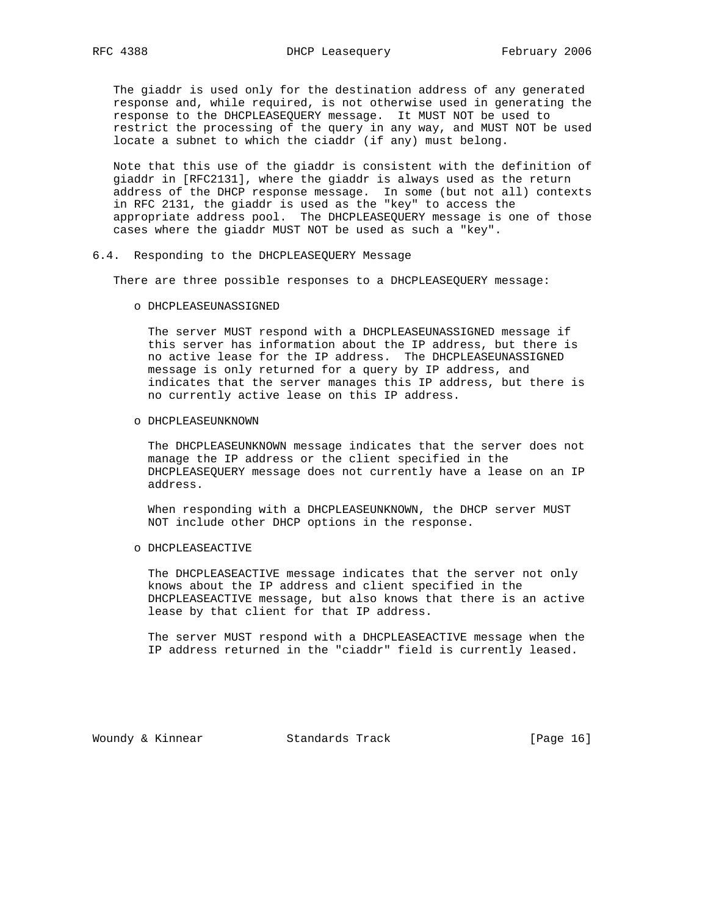The giaddr is used only for the destination address of any generated response and, while required, is not otherwise used in generating the response to the DHCPLEASEQUERY message. It MUST NOT be used to restrict the processing of the query in any way, and MUST NOT be used locate a subnet to which the ciaddr (if any) must belong.

 Note that this use of the giaddr is consistent with the definition of giaddr in [RFC2131], where the giaddr is always used as the return address of the DHCP response message. In some (but not all) contexts in RFC 2131, the giaddr is used as the "key" to access the appropriate address pool. The DHCPLEASEQUERY message is one of those cases where the giaddr MUST NOT be used as such a "key".

#### 6.4. Responding to the DHCPLEASEQUERY Message

There are three possible responses to a DHCPLEASEQUERY message:

o DHCPLEASEUNASSIGNED

 The server MUST respond with a DHCPLEASEUNASSIGNED message if this server has information about the IP address, but there is no active lease for the IP address. The DHCPLEASEUNASSIGNED message is only returned for a query by IP address, and indicates that the server manages this IP address, but there is no currently active lease on this IP address.

o DHCPLEASEUNKNOWN

 The DHCPLEASEUNKNOWN message indicates that the server does not manage the IP address or the client specified in the DHCPLEASEQUERY message does not currently have a lease on an IP address.

 When responding with a DHCPLEASEUNKNOWN, the DHCP server MUST NOT include other DHCP options in the response.

o DHCPLEASEACTIVE

 The DHCPLEASEACTIVE message indicates that the server not only knows about the IP address and client specified in the DHCPLEASEACTIVE message, but also knows that there is an active lease by that client for that IP address.

 The server MUST respond with a DHCPLEASEACTIVE message when the IP address returned in the "ciaddr" field is currently leased.

Woundy & Kinnear Standards Track [Page 16]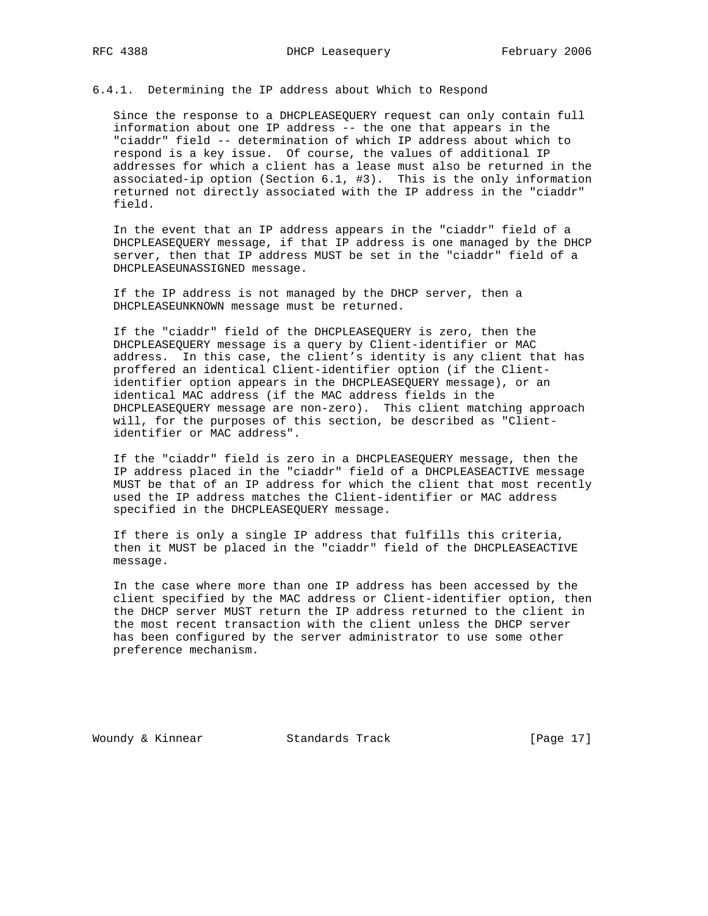# 6.4.1. Determining the IP address about Which to Respond

 Since the response to a DHCPLEASEQUERY request can only contain full information about one IP address -- the one that appears in the "ciaddr" field -- determination of which IP address about which to respond is a key issue. Of course, the values of additional IP addresses for which a client has a lease must also be returned in the associated-ip option (Section 6.1, #3). This is the only information returned not directly associated with the IP address in the "ciaddr" field.

 In the event that an IP address appears in the "ciaddr" field of a DHCPLEASEQUERY message, if that IP address is one managed by the DHCP server, then that IP address MUST be set in the "ciaddr" field of a DHCPLEASEUNASSIGNED message.

 If the IP address is not managed by the DHCP server, then a DHCPLEASEUNKNOWN message must be returned.

 If the "ciaddr" field of the DHCPLEASEQUERY is zero, then the DHCPLEASEQUERY message is a query by Client-identifier or MAC address. In this case, the client's identity is any client that has proffered an identical Client-identifier option (if the Client identifier option appears in the DHCPLEASEQUERY message), or an identical MAC address (if the MAC address fields in the DHCPLEASEQUERY message are non-zero). This client matching approach will, for the purposes of this section, be described as "Client identifier or MAC address".

 If the "ciaddr" field is zero in a DHCPLEASEQUERY message, then the IP address placed in the "ciaddr" field of a DHCPLEASEACTIVE message MUST be that of an IP address for which the client that most recently used the IP address matches the Client-identifier or MAC address specified in the DHCPLEASEQUERY message.

 If there is only a single IP address that fulfills this criteria, then it MUST be placed in the "ciaddr" field of the DHCPLEASEACTIVE message.

 In the case where more than one IP address has been accessed by the client specified by the MAC address or Client-identifier option, then the DHCP server MUST return the IP address returned to the client in the most recent transaction with the client unless the DHCP server has been configured by the server administrator to use some other preference mechanism.

Woundy & Kinnear Standards Track [Page 17]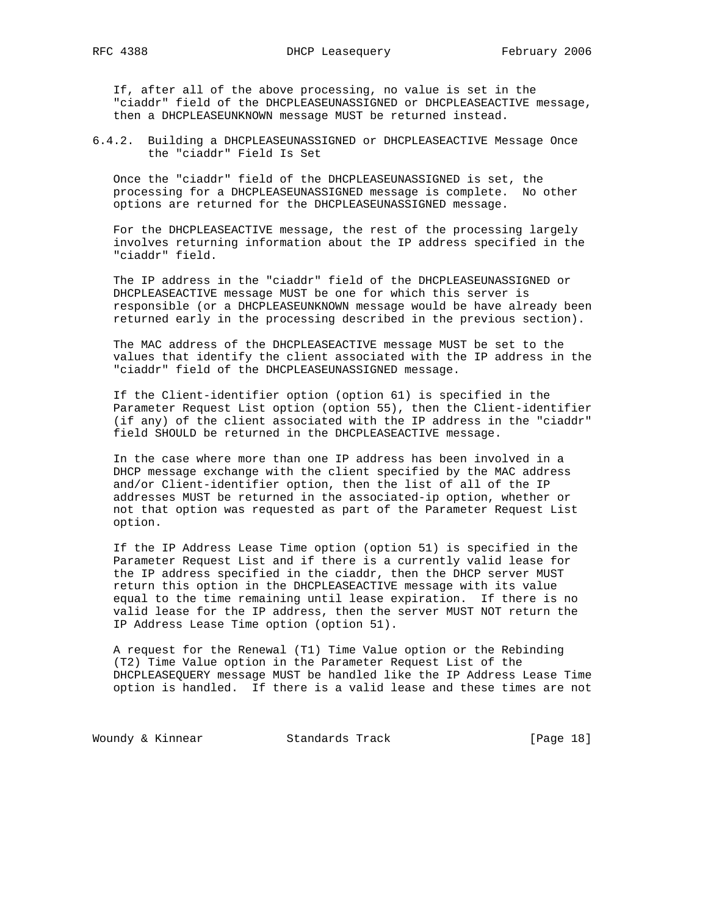If, after all of the above processing, no value is set in the "ciaddr" field of the DHCPLEASEUNASSIGNED or DHCPLEASEACTIVE message, then a DHCPLEASEUNKNOWN message MUST be returned instead.

6.4.2. Building a DHCPLEASEUNASSIGNED or DHCPLEASEACTIVE Message Once the "ciaddr" Field Is Set

 Once the "ciaddr" field of the DHCPLEASEUNASSIGNED is set, the processing for a DHCPLEASEUNASSIGNED message is complete. No other options are returned for the DHCPLEASEUNASSIGNED message.

 For the DHCPLEASEACTIVE message, the rest of the processing largely involves returning information about the IP address specified in the "ciaddr" field.

 The IP address in the "ciaddr" field of the DHCPLEASEUNASSIGNED or DHCPLEASEACTIVE message MUST be one for which this server is responsible (or a DHCPLEASEUNKNOWN message would be have already been returned early in the processing described in the previous section).

 The MAC address of the DHCPLEASEACTIVE message MUST be set to the values that identify the client associated with the IP address in the "ciaddr" field of the DHCPLEASEUNASSIGNED message.

 If the Client-identifier option (option 61) is specified in the Parameter Request List option (option 55), then the Client-identifier (if any) of the client associated with the IP address in the "ciaddr" field SHOULD be returned in the DHCPLEASEACTIVE message.

 In the case where more than one IP address has been involved in a DHCP message exchange with the client specified by the MAC address and/or Client-identifier option, then the list of all of the IP addresses MUST be returned in the associated-ip option, whether or not that option was requested as part of the Parameter Request List option.

 If the IP Address Lease Time option (option 51) is specified in the Parameter Request List and if there is a currently valid lease for the IP address specified in the ciaddr, then the DHCP server MUST return this option in the DHCPLEASEACTIVE message with its value equal to the time remaining until lease expiration. If there is no valid lease for the IP address, then the server MUST NOT return the IP Address Lease Time option (option 51).

 A request for the Renewal (T1) Time Value option or the Rebinding (T2) Time Value option in the Parameter Request List of the DHCPLEASEQUERY message MUST be handled like the IP Address Lease Time option is handled. If there is a valid lease and these times are not

Woundy & Kinnear Standards Track [Page 18]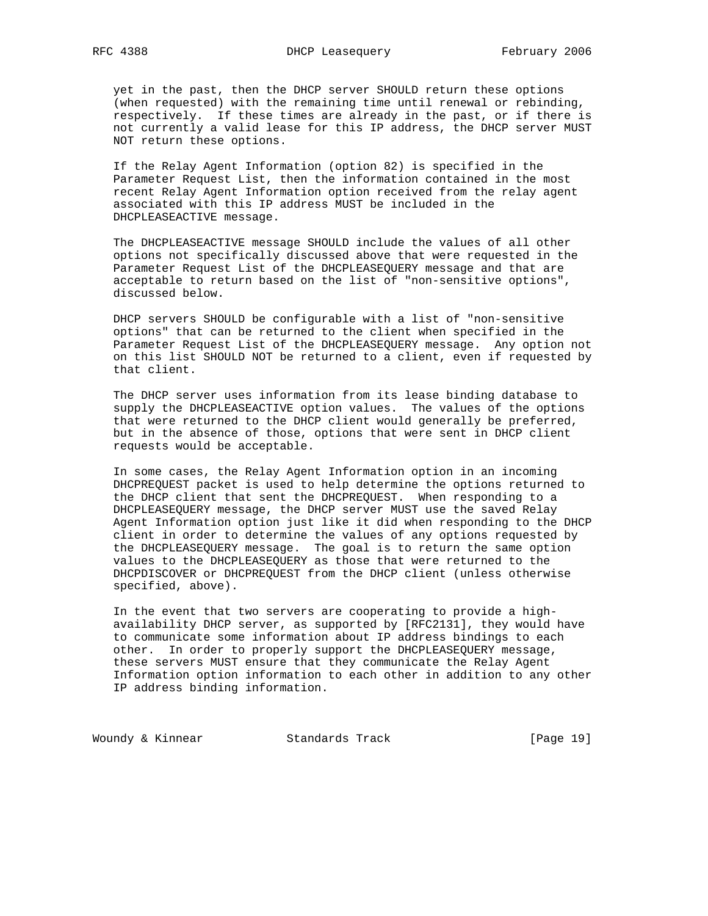yet in the past, then the DHCP server SHOULD return these options (when requested) with the remaining time until renewal or rebinding, respectively. If these times are already in the past, or if there is not currently a valid lease for this IP address, the DHCP server MUST NOT return these options.

 If the Relay Agent Information (option 82) is specified in the Parameter Request List, then the information contained in the most recent Relay Agent Information option received from the relay agent associated with this IP address MUST be included in the DHCPLEASEACTIVE message.

 The DHCPLEASEACTIVE message SHOULD include the values of all other options not specifically discussed above that were requested in the Parameter Request List of the DHCPLEASEQUERY message and that are acceptable to return based on the list of "non-sensitive options", discussed below.

 DHCP servers SHOULD be configurable with a list of "non-sensitive options" that can be returned to the client when specified in the Parameter Request List of the DHCPLEASEQUERY message. Any option not on this list SHOULD NOT be returned to a client, even if requested by that client.

 The DHCP server uses information from its lease binding database to supply the DHCPLEASEACTIVE option values. The values of the options that were returned to the DHCP client would generally be preferred, but in the absence of those, options that were sent in DHCP client requests would be acceptable.

 In some cases, the Relay Agent Information option in an incoming DHCPREQUEST packet is used to help determine the options returned to the DHCP client that sent the DHCPREQUEST. When responding to a DHCPLEASEQUERY message, the DHCP server MUST use the saved Relay Agent Information option just like it did when responding to the DHCP client in order to determine the values of any options requested by the DHCPLEASEQUERY message. The goal is to return the same option values to the DHCPLEASEQUERY as those that were returned to the DHCPDISCOVER or DHCPREQUEST from the DHCP client (unless otherwise specified, above).

 In the event that two servers are cooperating to provide a high availability DHCP server, as supported by [RFC2131], they would have to communicate some information about IP address bindings to each other. In order to properly support the DHCPLEASEQUERY message, these servers MUST ensure that they communicate the Relay Agent Information option information to each other in addition to any other IP address binding information.

Woundy & Kinnear Standards Track [Page 19]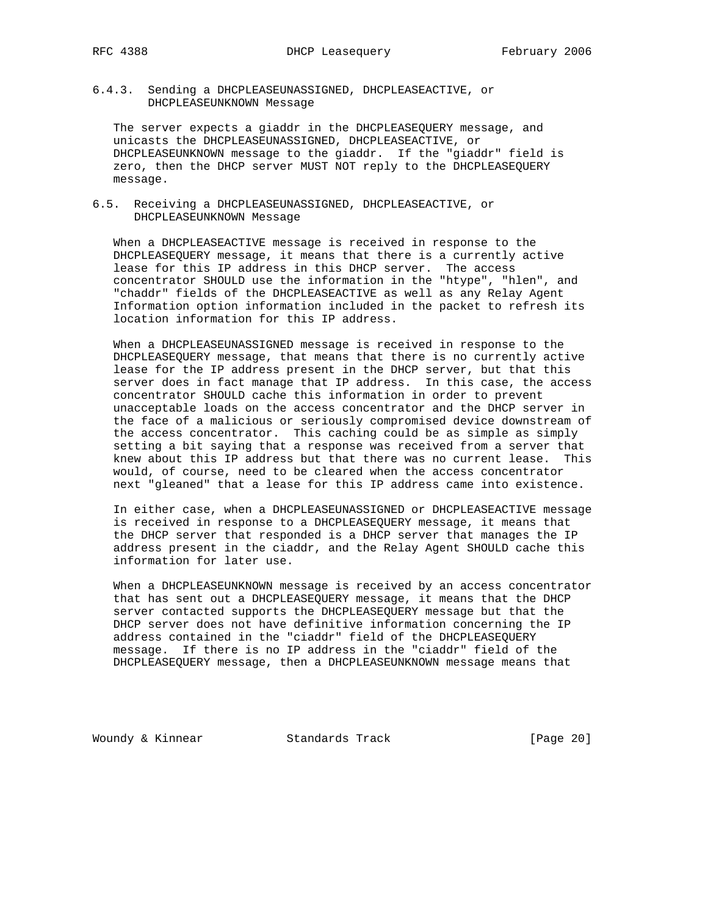6.4.3. Sending a DHCPLEASEUNASSIGNED, DHCPLEASEACTIVE, or DHCPLEASEUNKNOWN Message

 The server expects a giaddr in the DHCPLEASEQUERY message, and unicasts the DHCPLEASEUNASSIGNED, DHCPLEASEACTIVE, or DHCPLEASEUNKNOWN message to the giaddr. If the "giaddr" field is zero, then the DHCP server MUST NOT reply to the DHCPLEASEQUERY message.

6.5. Receiving a DHCPLEASEUNASSIGNED, DHCPLEASEACTIVE, or DHCPLEASEUNKNOWN Message

 When a DHCPLEASEACTIVE message is received in response to the DHCPLEASEQUERY message, it means that there is a currently active lease for this IP address in this DHCP server. The access concentrator SHOULD use the information in the "htype", "hlen", and "chaddr" fields of the DHCPLEASEACTIVE as well as any Relay Agent Information option information included in the packet to refresh its location information for this IP address.

 When a DHCPLEASEUNASSIGNED message is received in response to the DHCPLEASEQUERY message, that means that there is no currently active lease for the IP address present in the DHCP server, but that this server does in fact manage that IP address. In this case, the access concentrator SHOULD cache this information in order to prevent unacceptable loads on the access concentrator and the DHCP server in the face of a malicious or seriously compromised device downstream of the access concentrator. This caching could be as simple as simply setting a bit saying that a response was received from a server that knew about this IP address but that there was no current lease. This would, of course, need to be cleared when the access concentrator next "gleaned" that a lease for this IP address came into existence.

 In either case, when a DHCPLEASEUNASSIGNED or DHCPLEASEACTIVE message is received in response to a DHCPLEASEQUERY message, it means that the DHCP server that responded is a DHCP server that manages the IP address present in the ciaddr, and the Relay Agent SHOULD cache this information for later use.

 When a DHCPLEASEUNKNOWN message is received by an access concentrator that has sent out a DHCPLEASEQUERY message, it means that the DHCP server contacted supports the DHCPLEASEQUERY message but that the DHCP server does not have definitive information concerning the IP address contained in the "ciaddr" field of the DHCPLEASEQUERY message. If there is no IP address in the "ciaddr" field of the DHCPLEASEQUERY message, then a DHCPLEASEUNKNOWN message means that

Woundy & Kinnear Standards Track [Page 20]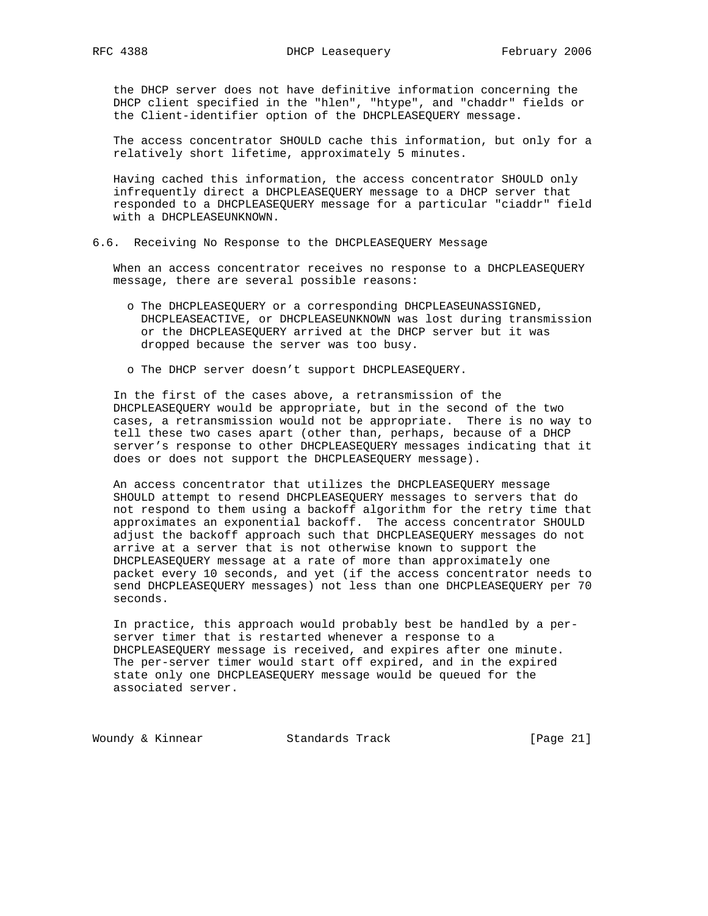the DHCP server does not have definitive information concerning the DHCP client specified in the "hlen", "htype", and "chaddr" fields or the Client-identifier option of the DHCPLEASEQUERY message.

 The access concentrator SHOULD cache this information, but only for a relatively short lifetime, approximately 5 minutes.

 Having cached this information, the access concentrator SHOULD only infrequently direct a DHCPLEASEQUERY message to a DHCP server that responded to a DHCPLEASEQUERY message for a particular "ciaddr" field with a DHCPLEASEUNKNOWN.

# 6.6. Receiving No Response to the DHCPLEASEQUERY Message

 When an access concentrator receives no response to a DHCPLEASEQUERY message, there are several possible reasons:

- o The DHCPLEASEQUERY or a corresponding DHCPLEASEUNASSIGNED, DHCPLEASEACTIVE, or DHCPLEASEUNKNOWN was lost during transmission or the DHCPLEASEQUERY arrived at the DHCP server but it was dropped because the server was too busy.
- o The DHCP server doesn't support DHCPLEASEQUERY.

 In the first of the cases above, a retransmission of the DHCPLEASEQUERY would be appropriate, but in the second of the two cases, a retransmission would not be appropriate. There is no way to tell these two cases apart (other than, perhaps, because of a DHCP server's response to other DHCPLEASEQUERY messages indicating that it does or does not support the DHCPLEASEQUERY message).

 An access concentrator that utilizes the DHCPLEASEQUERY message SHOULD attempt to resend DHCPLEASEQUERY messages to servers that do not respond to them using a backoff algorithm for the retry time that approximates an exponential backoff. The access concentrator SHOULD adjust the backoff approach such that DHCPLEASEQUERY messages do not arrive at a server that is not otherwise known to support the DHCPLEASEQUERY message at a rate of more than approximately one packet every 10 seconds, and yet (if the access concentrator needs to send DHCPLEASEQUERY messages) not less than one DHCPLEASEQUERY per 70 seconds.

 In practice, this approach would probably best be handled by a per server timer that is restarted whenever a response to a DHCPLEASEQUERY message is received, and expires after one minute. The per-server timer would start off expired, and in the expired state only one DHCPLEASEQUERY message would be queued for the associated server.

Woundy & Kinnear Standards Track [Page 21]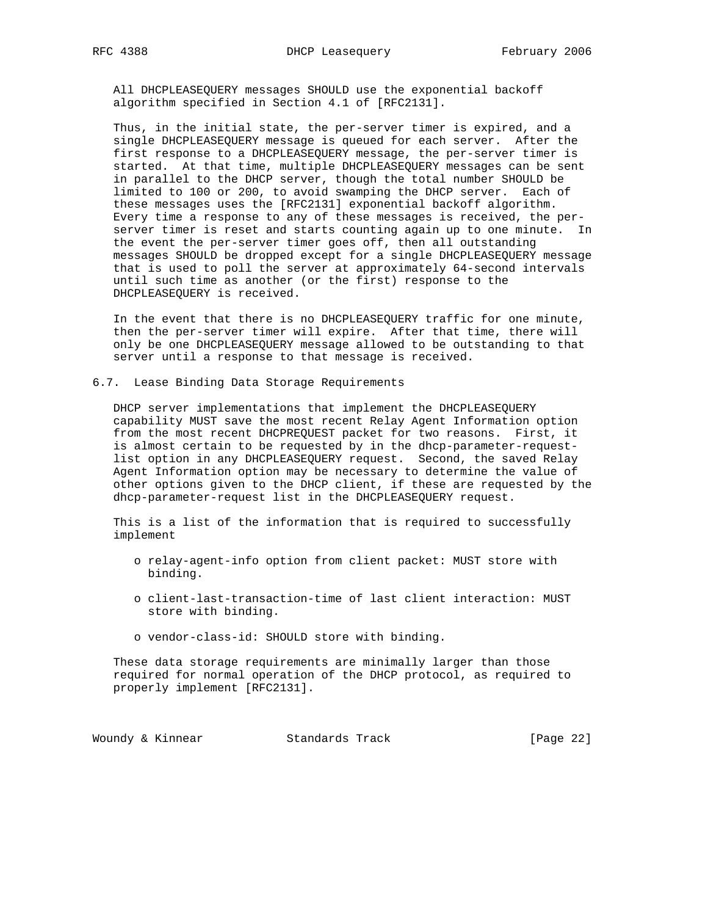All DHCPLEASEQUERY messages SHOULD use the exponential backoff algorithm specified in Section 4.1 of [RFC2131].

 Thus, in the initial state, the per-server timer is expired, and a single DHCPLEASEQUERY message is queued for each server. After the first response to a DHCPLEASEQUERY message, the per-server timer is started. At that time, multiple DHCPLEASEQUERY messages can be sent in parallel to the DHCP server, though the total number SHOULD be limited to 100 or 200, to avoid swamping the DHCP server. Each of these messages uses the [RFC2131] exponential backoff algorithm. Every time a response to any of these messages is received, the per server timer is reset and starts counting again up to one minute. In the event the per-server timer goes off, then all outstanding messages SHOULD be dropped except for a single DHCPLEASEQUERY message that is used to poll the server at approximately 64-second intervals until such time as another (or the first) response to the DHCPLEASEQUERY is received.

 In the event that there is no DHCPLEASEQUERY traffic for one minute, then the per-server timer will expire. After that time, there will only be one DHCPLEASEQUERY message allowed to be outstanding to that server until a response to that message is received.

6.7. Lease Binding Data Storage Requirements

 DHCP server implementations that implement the DHCPLEASEQUERY capability MUST save the most recent Relay Agent Information option from the most recent DHCPREQUEST packet for two reasons. First, it is almost certain to be requested by in the dhcp-parameter-request list option in any DHCPLEASEQUERY request. Second, the saved Relay Agent Information option may be necessary to determine the value of other options given to the DHCP client, if these are requested by the dhcp-parameter-request list in the DHCPLEASEQUERY request.

 This is a list of the information that is required to successfully implement

- o relay-agent-info option from client packet: MUST store with binding.
- o client-last-transaction-time of last client interaction: MUST store with binding.
- o vendor-class-id: SHOULD store with binding.

 These data storage requirements are minimally larger than those required for normal operation of the DHCP protocol, as required to properly implement [RFC2131].

Woundy & Kinnear Standards Track [Page 22]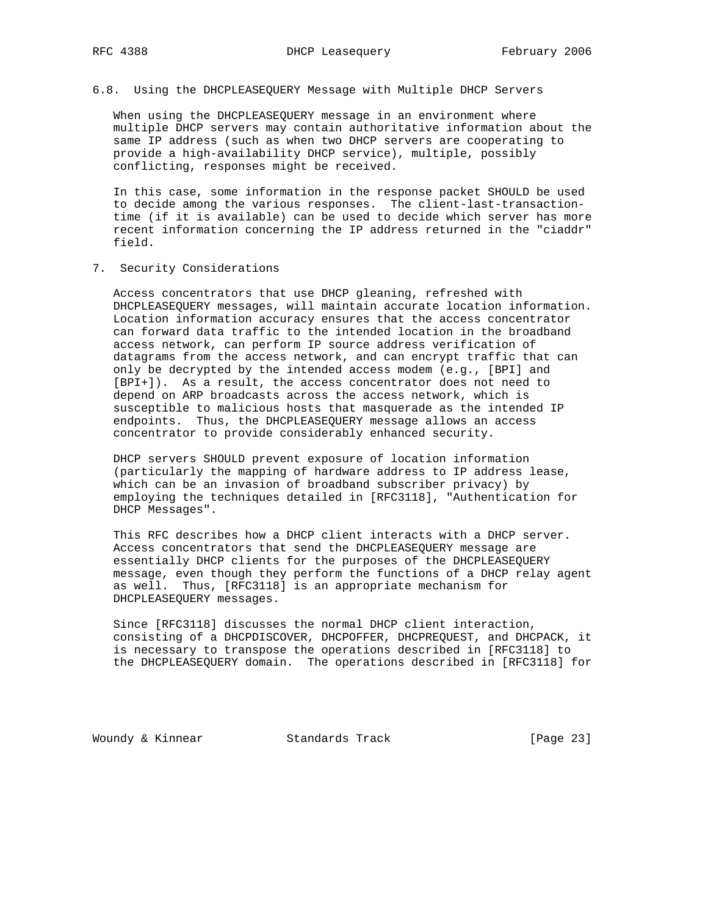# 6.8. Using the DHCPLEASEQUERY Message with Multiple DHCP Servers

 When using the DHCPLEASEQUERY message in an environment where multiple DHCP servers may contain authoritative information about the same IP address (such as when two DHCP servers are cooperating to provide a high-availability DHCP service), multiple, possibly conflicting, responses might be received.

 In this case, some information in the response packet SHOULD be used to decide among the various responses. The client-last-transaction time (if it is available) can be used to decide which server has more recent information concerning the IP address returned in the "ciaddr" field.

7. Security Considerations

 Access concentrators that use DHCP gleaning, refreshed with DHCPLEASEQUERY messages, will maintain accurate location information. Location information accuracy ensures that the access concentrator can forward data traffic to the intended location in the broadband access network, can perform IP source address verification of datagrams from the access network, and can encrypt traffic that can only be decrypted by the intended access modem (e.g., [BPI] and [BPI+]). As a result, the access concentrator does not need to depend on ARP broadcasts across the access network, which is susceptible to malicious hosts that masquerade as the intended IP endpoints. Thus, the DHCPLEASEQUERY message allows an access concentrator to provide considerably enhanced security.

 DHCP servers SHOULD prevent exposure of location information (particularly the mapping of hardware address to IP address lease, which can be an invasion of broadband subscriber privacy) by employing the techniques detailed in [RFC3118], "Authentication for DHCP Messages".

 This RFC describes how a DHCP client interacts with a DHCP server. Access concentrators that send the DHCPLEASEQUERY message are essentially DHCP clients for the purposes of the DHCPLEASEQUERY message, even though they perform the functions of a DHCP relay agent as well. Thus, [RFC3118] is an appropriate mechanism for DHCPLEASEQUERY messages.

 Since [RFC3118] discusses the normal DHCP client interaction, consisting of a DHCPDISCOVER, DHCPOFFER, DHCPREQUEST, and DHCPACK, it is necessary to transpose the operations described in [RFC3118] to the DHCPLEASEQUERY domain. The operations described in [RFC3118] for

Woundy & Kinnear Standards Track [Page 23]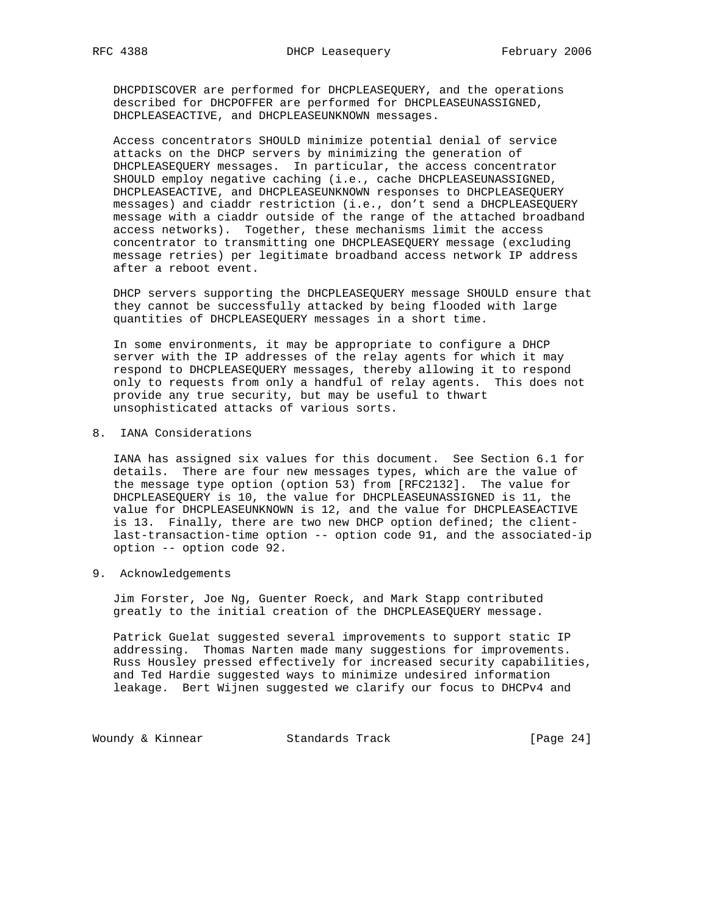DHCPDISCOVER are performed for DHCPLEASEQUERY, and the operations described for DHCPOFFER are performed for DHCPLEASEUNASSIGNED, DHCPLEASEACTIVE, and DHCPLEASEUNKNOWN messages.

 Access concentrators SHOULD minimize potential denial of service attacks on the DHCP servers by minimizing the generation of DHCPLEASEQUERY messages. In particular, the access concentrator SHOULD employ negative caching (i.e., cache DHCPLEASEUNASSIGNED, DHCPLEASEACTIVE, and DHCPLEASEUNKNOWN responses to DHCPLEASEQUERY messages) and ciaddr restriction (i.e., don't send a DHCPLEASEQUERY message with a ciaddr outside of the range of the attached broadband access networks). Together, these mechanisms limit the access concentrator to transmitting one DHCPLEASEQUERY message (excluding message retries) per legitimate broadband access network IP address after a reboot event.

 DHCP servers supporting the DHCPLEASEQUERY message SHOULD ensure that they cannot be successfully attacked by being flooded with large quantities of DHCPLEASEQUERY messages in a short time.

 In some environments, it may be appropriate to configure a DHCP server with the IP addresses of the relay agents for which it may respond to DHCPLEASEQUERY messages, thereby allowing it to respond only to requests from only a handful of relay agents. This does not provide any true security, but may be useful to thwart unsophisticated attacks of various sorts.

8. IANA Considerations

 IANA has assigned six values for this document. See Section 6.1 for details. There are four new messages types, which are the value of the message type option (option 53) from [RFC2132]. The value for DHCPLEASEQUERY is 10, the value for DHCPLEASEUNASSIGNED is 11, the value for DHCPLEASEUNKNOWN is 12, and the value for DHCPLEASEACTIVE is 13. Finally, there are two new DHCP option defined; the client last-transaction-time option -- option code 91, and the associated-ip option -- option code 92.

9. Acknowledgements

 Jim Forster, Joe Ng, Guenter Roeck, and Mark Stapp contributed greatly to the initial creation of the DHCPLEASEQUERY message.

 Patrick Guelat suggested several improvements to support static IP addressing. Thomas Narten made many suggestions for improvements. Russ Housley pressed effectively for increased security capabilities, and Ted Hardie suggested ways to minimize undesired information leakage. Bert Wijnen suggested we clarify our focus to DHCPv4 and

Woundy & Kinnear Standards Track [Page 24]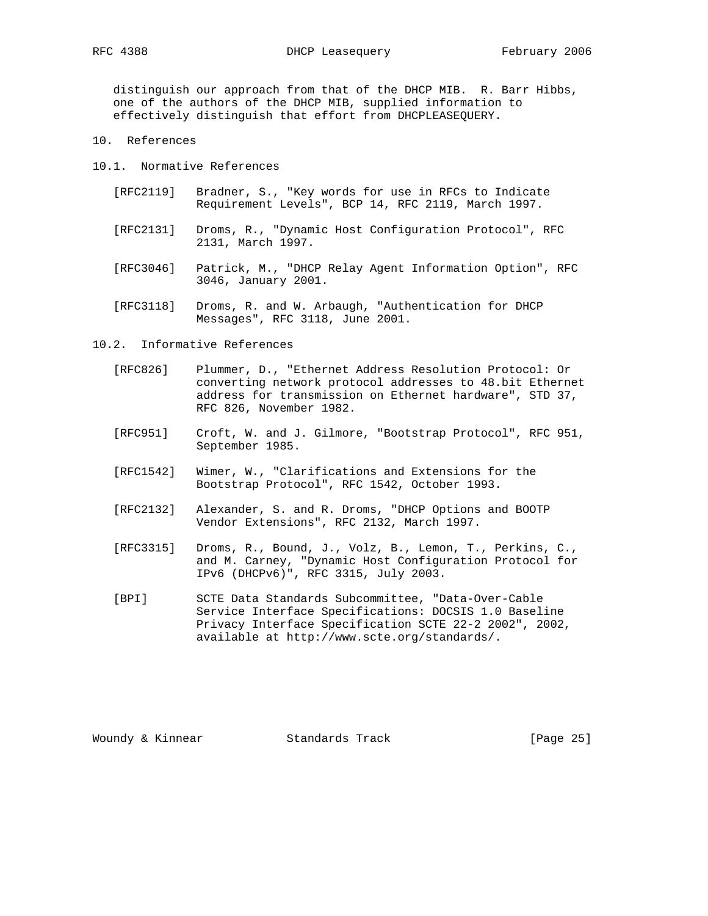distinguish our approach from that of the DHCP MIB. R. Barr Hibbs, one of the authors of the DHCP MIB, supplied information to effectively distinguish that effort from DHCPLEASEQUERY.

10. References

10.1. Normative References

- [RFC2119] Bradner, S., "Key words for use in RFCs to Indicate Requirement Levels", BCP 14, RFC 2119, March 1997.
- [RFC2131] Droms, R., "Dynamic Host Configuration Protocol", RFC 2131, March 1997.
- [RFC3046] Patrick, M., "DHCP Relay Agent Information Option", RFC 3046, January 2001.
- [RFC3118] Droms, R. and W. Arbaugh, "Authentication for DHCP Messages", RFC 3118, June 2001.

10.2. Informative References

- [RFC826] Plummer, D., "Ethernet Address Resolution Protocol: Or converting network protocol addresses to 48.bit Ethernet address for transmission on Ethernet hardware", STD 37, RFC 826, November 1982.
- [RFC951] Croft, W. and J. Gilmore, "Bootstrap Protocol", RFC 951, September 1985.
- [RFC1542] Wimer, W., "Clarifications and Extensions for the Bootstrap Protocol", RFC 1542, October 1993.
- [RFC2132] Alexander, S. and R. Droms, "DHCP Options and BOOTP Vendor Extensions", RFC 2132, March 1997.
- [RFC3315] Droms, R., Bound, J., Volz, B., Lemon, T., Perkins, C., and M. Carney, "Dynamic Host Configuration Protocol for IPv6 (DHCPv6)", RFC 3315, July 2003.
- [BPI] SCTE Data Standards Subcommittee, "Data-Over-Cable Service Interface Specifications: DOCSIS 1.0 Baseline Privacy Interface Specification SCTE 22-2 2002", 2002, available at http://www.scte.org/standards/.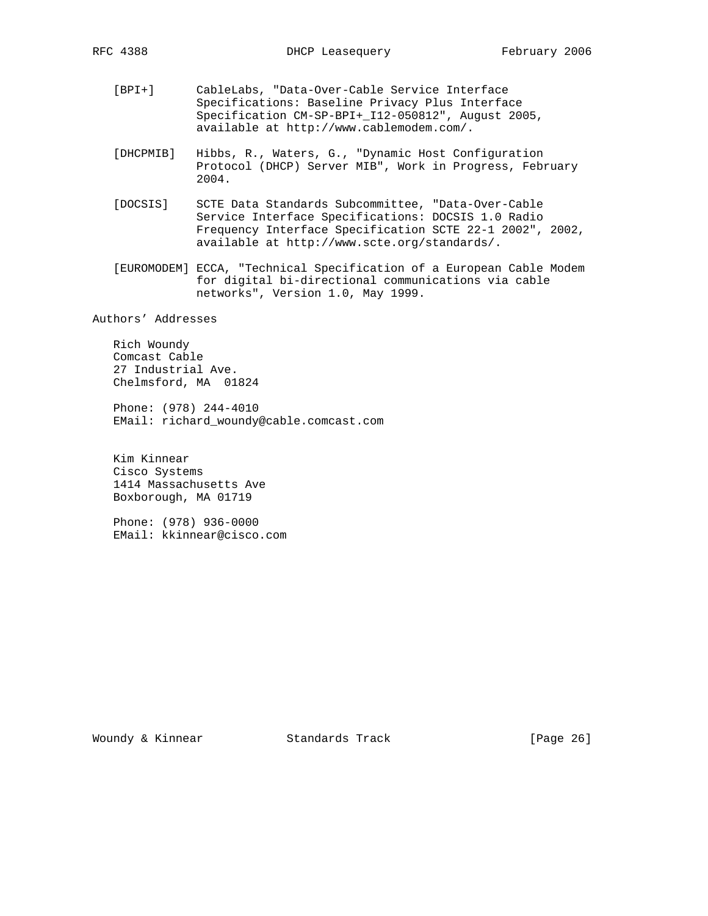- [BPI+] CableLabs, "Data-Over-Cable Service Interface Specifications: Baseline Privacy Plus Interface Specification CM-SP-BPI+\_I12-050812", August 2005, available at http://www.cablemodem.com/.
- [DHCPMIB] Hibbs, R., Waters, G., "Dynamic Host Configuration Protocol (DHCP) Server MIB", Work in Progress, February 2004.
- [DOCSIS] SCTE Data Standards Subcommittee, "Data-Over-Cable Service Interface Specifications: DOCSIS 1.0 Radio Frequency Interface Specification SCTE 22-1 2002", 2002, available at http://www.scte.org/standards/.
- [EUROMODEM] ECCA, "Technical Specification of a European Cable Modem for digital bi-directional communications via cable networks", Version 1.0, May 1999.

Authors' Addresses

 Rich Woundy Comcast Cable 27 Industrial Ave. Chelmsford, MA 01824

 Phone: (978) 244-4010 EMail: richard\_woundy@cable.comcast.com

 Kim Kinnear Cisco Systems 1414 Massachusetts Ave Boxborough, MA 01719

 Phone: (978) 936-0000 EMail: kkinnear@cisco.com

Woundy & Kinnear Standards Track [Page 26]